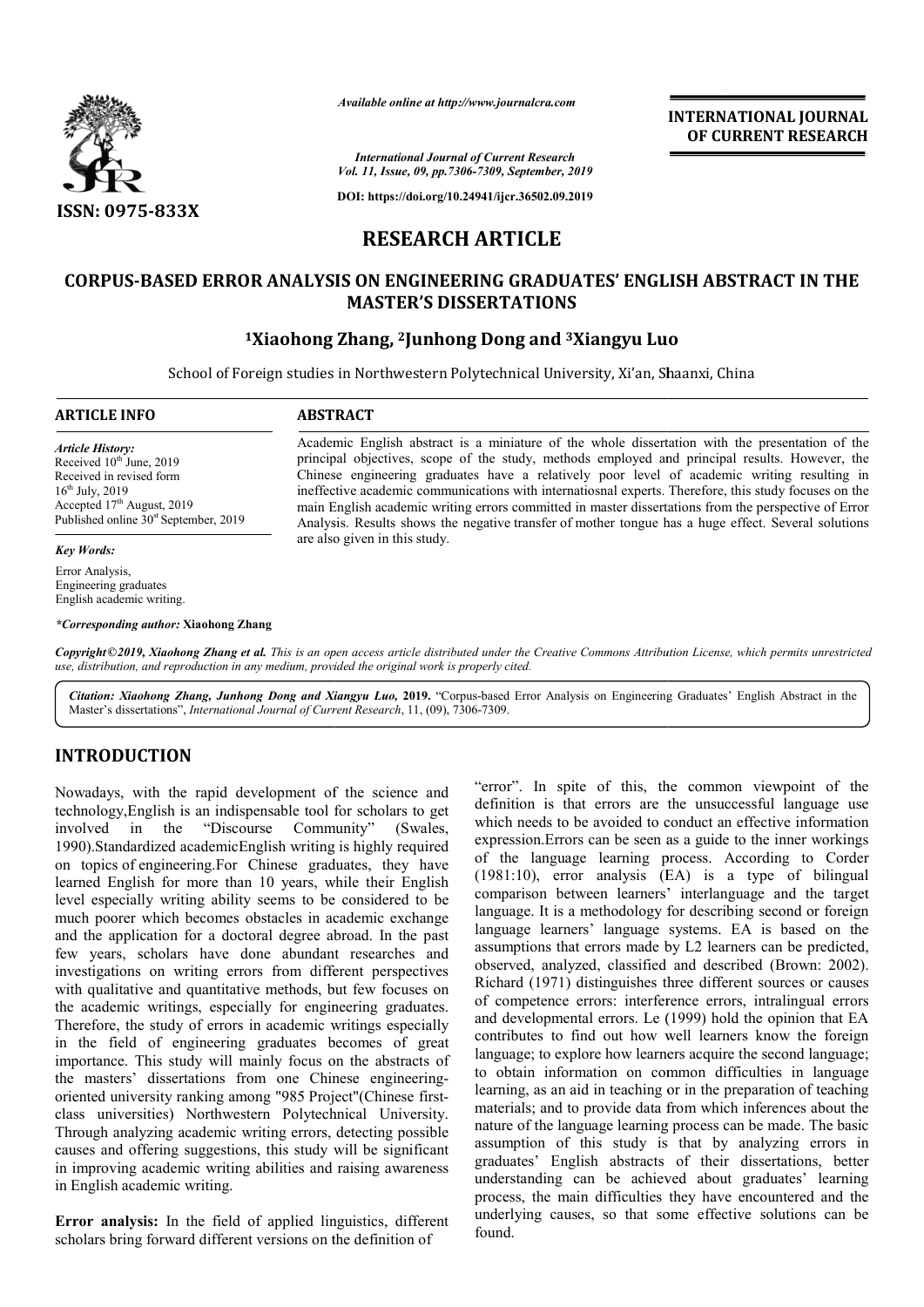

*Available online at http://www.journalcra.com*

**INTERNATIONAL JOURNAL OF CURRENT RESEARCH**

*International Journal of Current Research Vol. 11, Issue, 09, pp.7306-7309, September, 2019*

**DOI: https://doi.org/10.24941/ijcr.36502.09.2019**

# **RESEARCH ARTICLE**

# **CORPUS-BASED ERROR ANALYSIS ON ENGINEERING GRADUATES' ENGLISH ABSTRACT IN THE BASED MASTER'S DISSERTATIONS**

# **1Xiaohong Zhang, ong 2Junhong Dong and 3Xiangyu Luo**

School of Foreign studies in Northwestern Polytechnical University, Xi'an, Shaanxi, China

# **ARTICLE INFO ABSTRACT**

*Article History:* Received 10<sup>th</sup> June, 2019 Received in revised form  $16^{th}$  July, 2019 Accepted  $17<sup>th</sup>$  August, 2019 Published online 30<sup>st</sup> September, 2019

# *Key Words:*

Error Analysis, Engineering graduates English academic writing.

*\*Corresponding author:* **Xiaohong Zhang**

are also given in this study.

Academic English abstract is a miniature of the whole dissertation with the presentation of the Academic English abstract is a miniature of the whole dissertation with the presentation of the principal objectives, scope of the study, methods employed and principal results. However, the Chinese engineering graduates have a relatively poor level of academic writing resulting in Academic English abstract is a miniature of the whole dissertation with the presentation of the principal objectives, scope of the study, methods employed and principal results. However, the Chinese engineering graduates h

main English academic writing errors committed in master dissertations from the perspective of Error main English academic writing errors committed in master dissertations from the perspective of Error<br>Analysis. Results shows the negative transfer of mother tongue has a huge effect. Several solutions

Copyright©2019, Xiaohong Zhang et al. This is an open access article distributed under the Creative Commons Attribution License, which permits unrestrictea *use, distribution, and reproduction in any medium, provided the original work is properly cited.*

Citation: Xiaohong Zhang, Junhong Dong and Xiangyu Luo, 2019. "Corpus-based Error Analysis on Engineering Graduates' English Abstract in the Master's dissertations", *International Journal of Current Research* , 11, (09), 7306-7309.

# **INTRODUCTION**

Nowadays, with the rapid development of the science and technology, English is an indispensable tool for scholars to get<br>involved in the "Discourse Community" (Swales, involved in the "Discourse Community" (Swales, 1990).Standardized academicEnglish writing is highly required on topics of engineering.For Chinese graduates, they have learned English for more than 10 years, while their English level especially writing ability seems to be considered to be much poorer which becomes obstacles in academic exchange and the application for a doctoral degree abroad. In the past few years, scholars have done abundant researches and investigations on writing errors from different perspectives much poorer which becomes obstacles in academic exchange<br>and the application for a doctoral degree abroad. In the past<br>few years, scholars have done abundant researches and<br>investigations on writing errors from different p the academic writings, especially for engineering graduates. Therefore, the study of errors in academic writings especially in the field of engineering graduates becomes of great importance. This study will mainly focus on the abstracts of the masters' dissertations from one Chinese engineeringoriented university ranking among "985 Project"(Chin class universities) Northwestern Polytechnical University. Through analyzing academic writing errors, detecting possible causes and offering suggestions, this study will be significant in improving academic writing abilities and raising awareness in English academic writing. Project"(Chinese first-

**Error analysis:** In the field of applied linguistics, different scholars bring forward different versions on the definition of

"error". In spite of this, the common viewpoint of the definition is that errors are the unsuccessful language use which needs to be avoided to conduct an effective information expression.Errors can be seen as a guide to the inner workings of the language learning process. According to Corder (1981:10), error analysis (EA) is a type of bilingual comparison between learners' interlanguage and the target language. It is a methodology for describing second or foreign language learners' language systems. EA is based on the assumptions that errors made by L2 learners can be predicted, observed, analyzed, classified and described (Brown: 2002). Richard (1971) distinguishes three different sources or causes of competence errors: interference errors, intralingual errors and developmental errors. Le (1999) hold the opinion that EA contributes to find out how well learners know the foreign language; to explore how learners acquire the second language; to obtain information on common difficulties in language learning, as an aid in teaching or in the preparation of teaching to obtain information on common difficulties in language learning, as an aid in teaching or in the preparation of teaching materials; and to provide data from which inferences about the nature of the language learning process can be made. The basic assumption of this study is that by analyzing errors in graduates' English abstracts of their dissertations, better understanding can be achieved about graduates' learning process, the main difficulties they have encountered and the underlying causes, so that some effective solutions can be found. sion.Errors can be seen as a guide to the inner workings<br>
2 language learning process. According to Corder<br>
10), error analysis (EA) is a type of bilingual<br>
rison between learners' interlanguage and the target<br>
ge. It is a INTERNATIONAL JOURNAL<br>
INTERNATIONAL OF CURRENT RESEARCH<br>
CONDENSATE CONDENSATE CONDENSATE CONDENSATE CONDENSATE CONDENSATE CONDENSATE (S680.99.2019)<br>
ICLE CROSUS 2019<br>
ICLE CROSUS 2019<br>
ICLE CROSUS 2019<br>
ICLE CROSUS 2019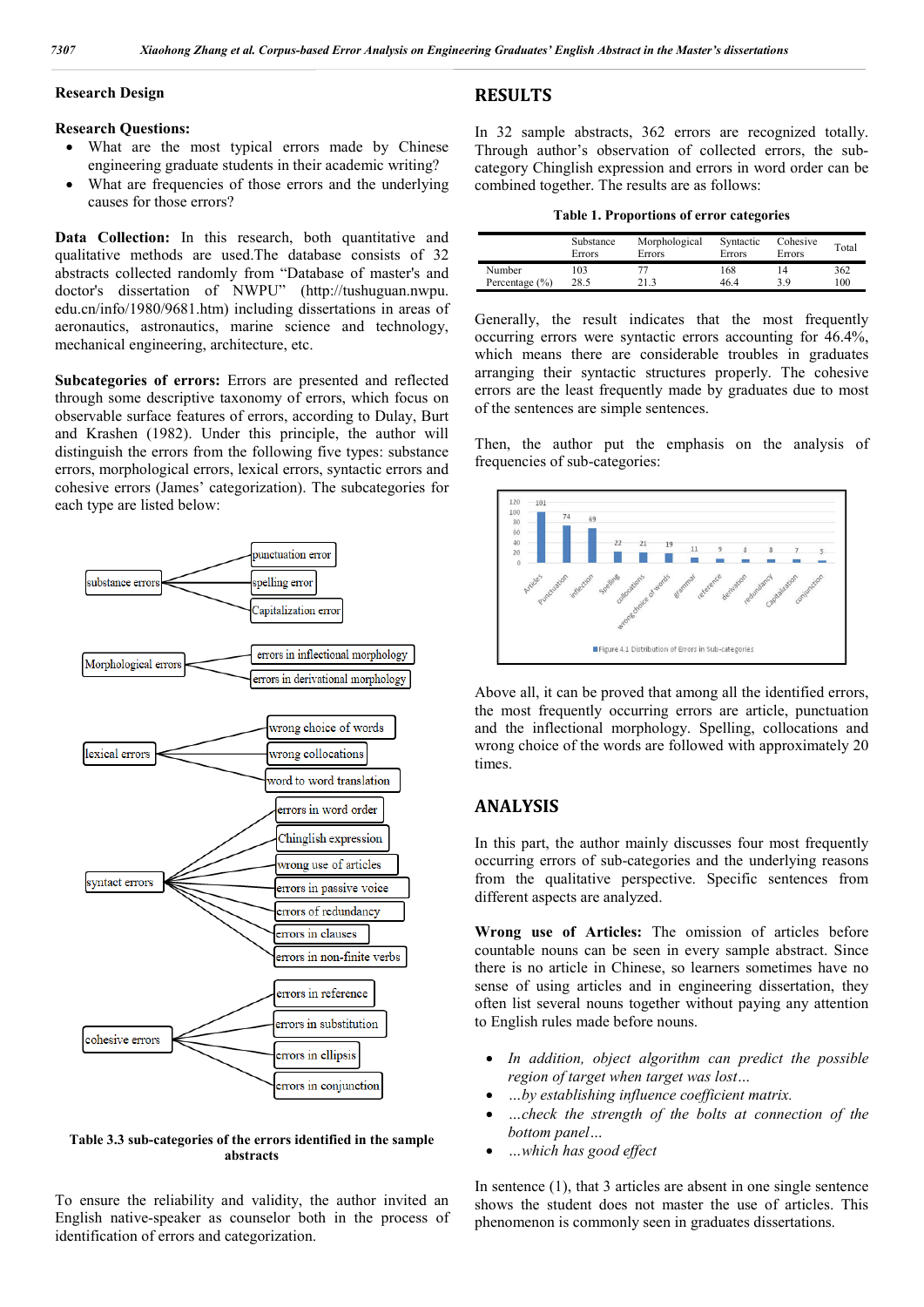#### **Research Design**

### **Research Questions:**

- What are the most typical errors made by Chinese engineering graduate students in their academic writing?
- What are frequencies of those errors and the underlying causes for those errors?

Data Collection: In this research, both quantitative and qualitative methods are used.The database consists of 32 abstracts collected randomly from "Database of master's and doctor's dissertation of NWPU" (http://tushuguan.nwpu. edu.cn/info/1980/9681.htm) including dissertations in areas of aeronautics, astronautics, marine science and technology, mechanical engineering, architecture, etc.

**Subcategories of errors:** Errors are presented and reflected through some descriptive taxonomy of errors, which focus on observable surface features of errors, according to Dulay, Burt and Krashen (1982). Under this principle, the author will distinguish the errors from the following five types: substance errors, morphological errors, lexical errors, syntactic errors and cohesive errors (James' categorization). The subcategories for each type are listed below:



# **Table 3.3 sub-categories of the errors identified in the sample abstracts**

To ensure the reliability and validity, the author invited an English native-speaker as counselor both in the process of identification of errors and categorization.

# **RESULTS**

In 32 sample abstracts, 362 errors are recognized totally. Through author's observation of collected errors, the subcategory Chinglish expression and errors in word order can be combined together. The results are as follows:

|  | <b>Table 1. Proportions of error categories</b> |  |  |
|--|-------------------------------------------------|--|--|
|  |                                                 |  |  |

|                    | Substance<br>Errors | Morphological<br>Errors | Syntactic<br>Errors | Cohesive<br>Errors | Total |
|--------------------|---------------------|-------------------------|---------------------|--------------------|-------|
| Number             | 103                 | 77                      | 168                 | 14                 | 362   |
| Percentage $(\% )$ | 28.5                | 21 3                    | 46.4                | 3 Q                | 100   |

Generally, the result indicates that the most frequently occurring errors were syntactic errors accounting for 46.4%, which means there are considerable troubles in graduates arranging their syntactic structures properly. The cohesive errors are the least frequently made by graduates due to most of the sentences are simple sentences.

Then, the author put the emphasis on the analysis of frequencies of sub-categories:



Above all, it can be proved that among all the identified errors, the most frequently occurring errors are article, punctuation and the inflectional morphology. Spelling, collocations and wrong choice of the words are followed with approximately 20 times.

# **ANALYSIS**

In this part, the author mainly discusses four most frequently occurring errors of sub-categories and the underlying reasons from the qualitative perspective. Specific sentences from different aspects are analyzed.

**Wrong use of Articles:** The omission of articles before countable nouns can be seen in every sample abstract. Since there is no article in Chinese, so learners sometimes have no sense of using articles and in engineering dissertation, they often list several nouns together without paying any attention to English rules made before nouns.

- *In addition, object algorithm can predict the possible region of target when target was lost…*
- *…by establishing influence coefficient matrix.*
- *…check the strength of the bolts at connection of the bottom panel…*
- *…which has good effect*

In sentence (1), that 3 articles are absent in one single sentence shows the student does not master the use of articles. This phenomenon is commonly seen in graduates dissertations.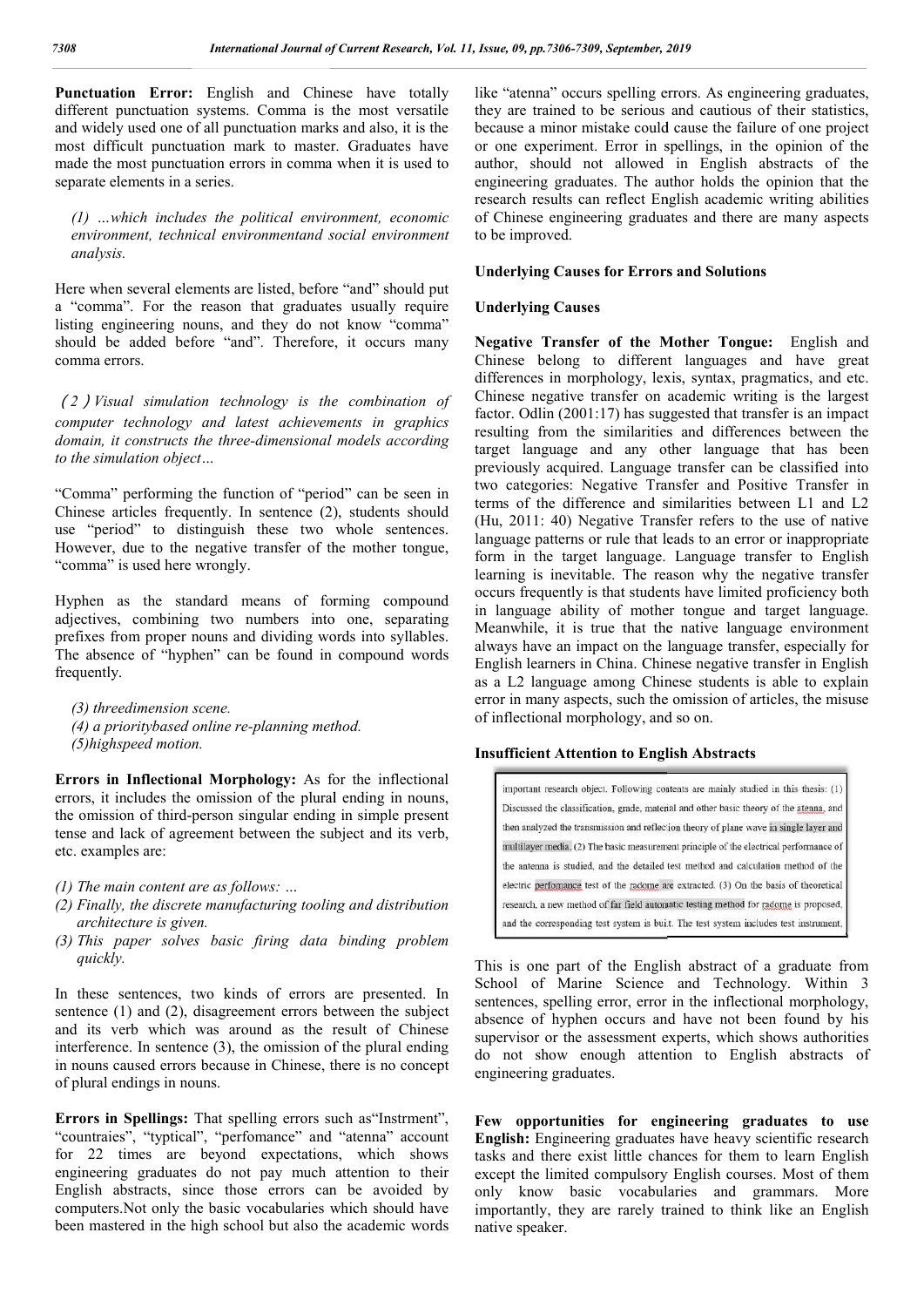Punctuation Error: English and Chinese have totally different punctuation systems. Comma is the most versatile and widely used one of all punctuation marks and also, it is the most difficult punctuation mark to master. Graduates have made the most punctuation errors in comma when it is used to separate elements in a series.

*(1) …which includes the political environment, economic environment, technical environmentand social environment analysis.*

Here when several elements are listed, before "and" should put a "comma". For the reason that graduates usually require listing engineering nouns, and they do not know "comma" should be added before "and". Therefore, it occurs many comma errors. which includes the political environment, economic<br>nment, technical environmentand social environment<br>is.<br>en several elements are listed, before "and" should put<br>na". For the reason that graduates usually require<br>ngineerin

(*2*)*Visual simulation technology is the computer technology and latest achievements in graphics*  domain, it constructs the three-dimensional models according *to the simulation object…*

"Comma" performing the function of "period" can be seen in Chinese articles frequently. In sentence (2), students should use "period" to distinguish these two whole sentences. However, due to the negative transfer of the mother tongue, "comma" is used here wrongly.

Hyphen as the standard means of forming compound adjectives, combining two numbers into one, separating prefixes from proper nouns and dividing words into syllables. The absence of "hyphen" can be found in compound words frequently. rs into one, separating<br>ding words into syllables.<br>vund in compound words

*(3) threedimension scene.* (4) a prioritybased online re-planning method. *(5)highspeed motion.*

**Errors in Inflectional Morphology:** As for the inflectional errors, it includes the omission of the plural ending in nouns, the omission of third-person singular ending in simple present tense and lack of agreement between the subject and its verb, etc. examples are:

- *(1) The main content are as follows: …*
- *(2) Finally, the discrete manufacturing tooling and distribution architecture is given.*
- *(3) This paper solves basic firing data binding problem quickly.*

In these sentences, two kinds of errors are presented. In sentence (1) and (2), disagreement errors between the subject and its verb which was around as the result of Chinese interference. In sentence (3), the omission of the plural ending in nouns caused errors because in Chinese, there is no concept of plural endings in nouns. ird-person singular ending in simple present<br>agreement between the subject and its verb,<br>*ent are as follows:* ...<br>*crete manufacturing tooling and distribution*<br>*given.*<br>*hlves basic firing data binding problem*<br>*s*, two

**Errors in Spellings:** That spelling errors such as"Instrment", "countraies", "typtical", "perfomance" and "atenna" account for 22 times are beyond expectations, which shows engineering graduates do not pay much attention to their English abstracts, since those errors can be avoided by computers.Not only the basic vocabularies which should have been mastered in the high school but also the academic words

like "atenna" occurs spelling errors. As engineering graduates, they are trained to be serious and cautious of their statistics, because a minor mistake could cause the failure of one project or one experiment. Error in spellings, in the opinion of the author, should not allowed in English abstracts of the engineering graduates. The author holds the opinion that the research results can reflect English academic writing abilities of Chinese engineering graduates and there are many aspects to be improved. because a minor mistake could cause the failure of one project<br>or one experiment. Error in spellings, in the opinion of the<br>author, should not allowed in English abstracts of the<br>engineering graduates. The author holds the

# **Underlying Causes for Errors and Solutions**

# **Underlying Causes**

Negative Transfer of the Mother Tongue: English and Chinese belong to different languages and have great Chinese belong to different languages and have great differences in morphology, lexis, syntax, pragmatics, and etc. Chinese negative transfer on academic writing is the largest factor. Odlin (2001:17) has suggested that transfer is an impact resulting from the similarities and differences between the target language and any other language that has been previously acquired. Language transfer can be classified into two categories: Negative Transfer and Positive Transfer in terms of the difference and similarities between L1 and L2 (Hu, 2011: 40) Negative Transfer refers to the use of native language patterns or rule that leads to an error or inappropriate (Hu, 2011: 40) Negative Transfer refers to the use of native language patterns or rule that leads to an error or inappropriate form in the target language. Language transfer to English learning is inevitable. The reason why the negative transfer occurs frequently is that students have limited proficiency both in language ability of mother tongue and target language. Meanwhile, it is true that the native language environment occurs frequently is that students have limited proficiency both<br>in language ability of mother tongue and target language.<br>Meanwhile, it is true that the native language environment<br>always have an impact on the language tr English learners in China. Chinese negative transfer in English as a L2 language among Chinese students is able to explain error in many aspects, such the omission of articles, the misuse of inflectional morphology, and so on. is the language transfer on academic writing is the largest Odlin (2001:17) has suggested that transfer is an impact g from the similarities and differences between the language and any other language that has been sly acq sh learners in China. Chinese negative transfer in<br>L2 language among Chinese students is able to<br>in many aspects, such the omission of articles, the *Issue, 09. pp. 7306-7309. September, 2019*<br>
like "atenna" occurs spelling errors. As engineer<br>
because at minor missiske could cause the failure there are translated to be serious and cautious of the core<br>
because a minor

# **Insufficient Attention to English Abstracts**

This is one part of the English abstract of a graduate from School of Marine Science and Technology. Within 3 sentences, spelling error, error in the inflectional morphology, absence of hyphen occurs and have not been found by his supervisor or the assessment experts, which shows authorities do not show enough attention to English abstracts of engineering graduates. is one part of the English abstract of a graduate from<br>pl of Marine Science and Technology. Within 3<br>neces, spelling error, error in the inflectional morphology,<br>ce of hyphen occurs and have not been found by his<br>visor or

**Few opportunities for engineering graduates to use Few opportunities for English:** Engineering graduates have heavy scientific research tasks and there exist little chances for them to learn English except the limited compulsory English courses. Most of them only know basic vocabularies and grammars. More importantly, they are rarely trained to think like an English native speaker.